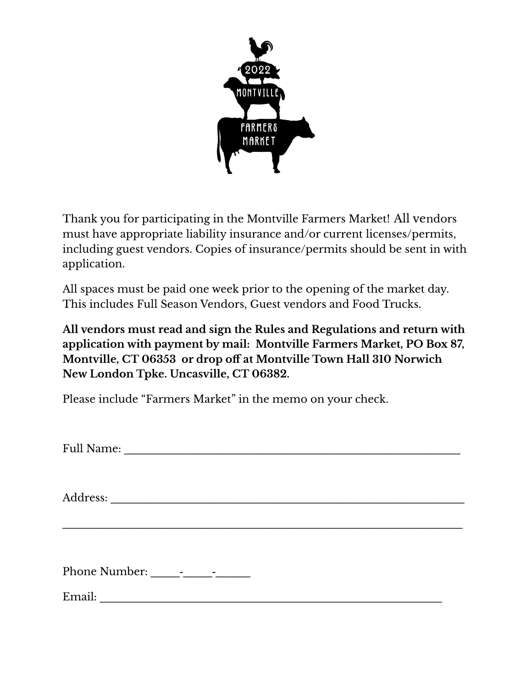

Thank you for participating in the Montville Farmers Market! All vendors must have appropriate liability insurance and/or current licenses/permits, including guest vendors. Copies of insurance/permits should be sent in with application.

All spaces must be paid one week prior to the opening of the market day. This includes Full Season Vendors, Guest vendors and Food Trucks.

**All vendors must read and sign the Rules and Regulations and return with application with payment by mail: Montville Farmers Market, PO Box 87, Montville, CT 06353 or drop off at Montville Town Hall 310 Norwich New London Tpke. Uncasville, CT 06382.**

Please include "Farmers Market" in the memo on your check.

Full Name:

 $\mathcal{L}_\text{max} = \mathcal{L}_\text{max} = \mathcal{L}_\text{max} = \mathcal{L}_\text{max} = \mathcal{L}_\text{max} = \mathcal{L}_\text{max} = \mathcal{L}_\text{max} = \mathcal{L}_\text{max} = \mathcal{L}_\text{max} = \mathcal{L}_\text{max} = \mathcal{L}_\text{max} = \mathcal{L}_\text{max} = \mathcal{L}_\text{max} = \mathcal{L}_\text{max} = \mathcal{L}_\text{max} = \mathcal{L}_\text{max} = \mathcal{L}_\text{max} = \mathcal{L}_\text{max} = \mathcal{$ 

Address: \_\_\_\_\_\_\_\_\_\_\_\_\_\_\_\_\_\_\_\_\_\_\_\_\_\_\_\_\_\_\_\_\_\_\_\_\_\_\_\_\_\_\_\_\_\_\_\_\_\_\_\_\_\_\_\_\_\_\_\_\_

Phone Number: \_\_\_\_\_-\_\_\_\_\_-\_\_\_\_\_\_

Email: \_\_\_\_\_\_\_\_\_\_\_\_\_\_\_\_\_\_\_\_\_\_\_\_\_\_\_\_\_\_\_\_\_\_\_\_\_\_\_\_\_\_\_\_\_\_\_\_\_\_\_\_\_\_\_\_\_\_\_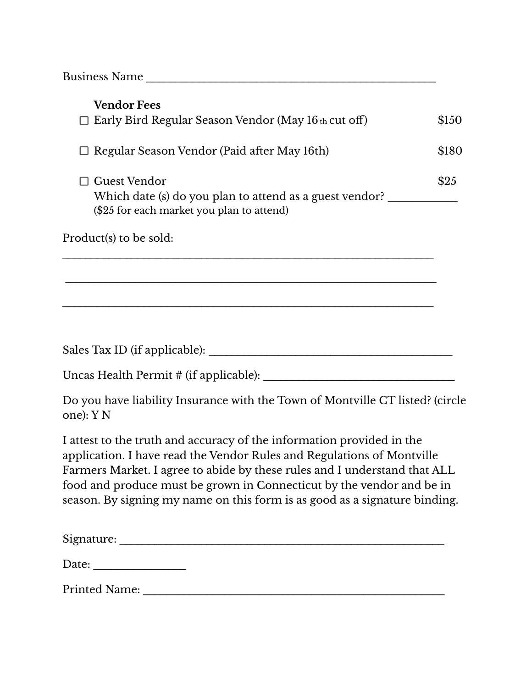Business Name \_\_\_\_\_\_\_\_\_\_\_\_\_\_\_\_\_\_\_\_\_\_\_\_\_\_\_\_\_\_\_\_\_\_\_\_\_\_\_\_\_\_\_\_\_\_\_\_\_\_

| <b>Vendor Fees</b>                                                                                                                                                                                                           |       |
|------------------------------------------------------------------------------------------------------------------------------------------------------------------------------------------------------------------------------|-------|
| $\Box$ Early Bird Regular Season Vendor (May 16 th cut off)                                                                                                                                                                  | \$150 |
| Regular Season Vendor (Paid after May 16th)                                                                                                                                                                                  | \$180 |
| <b>Guest Vendor</b><br>Which date (s) do you plan to attend as a guest vendor?<br>(\$25 for each market you plan to attend)                                                                                                  | \$25  |
| Product(s) to be sold:                                                                                                                                                                                                       |       |
|                                                                                                                                                                                                                              |       |
|                                                                                                                                                                                                                              |       |
|                                                                                                                                                                                                                              |       |
|                                                                                                                                                                                                                              |       |
|                                                                                                                                                                                                                              |       |
| Do you have liability Insurance with the Town of Montville CT listed? (circle<br>one): Y N                                                                                                                                   |       |
| I attest to the truth and accuracy of the information provided in the<br>application. I have read the Vendor Rules and Regulations of Montville<br>Farmers Market. I agree to abide by these rules and I understand that ALL |       |

Farmers Market. I agree to abide by these rules and I understand that ALL food and produce must be grown in Connecticut by the vendor and be in season. By signing my name on this form is as good as a signature binding.

| Signature:           |  |  |  |
|----------------------|--|--|--|
| Date:                |  |  |  |
| <b>Printed Name:</b> |  |  |  |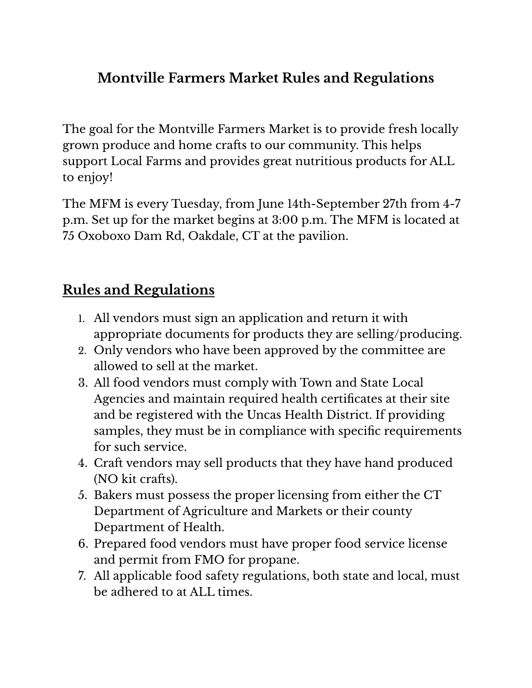## **Montville Farmers Market Rules and Regulations**

The goal for the Montville Farmers Market is to provide fresh locally grown produce and home crafts to our community. This helps support Local Farms and provides great nutritious products for ALL to enjoy!

The MFM is every Tuesday, from June 14th-September 27th from 4-7 p.m. Set up for the market begins at 3:00 p.m. The MFM is located at 75 Oxoboxo Dam Rd, Oakdale, CT at the pavilion.

## **Rules and Regulations**

- 1. All vendors must sign an application and return it with appropriate documents for products they are selling/producing.
- 2. Only vendors who have been approved by the committee are allowed to sell at the market.
- 3. All food vendors must comply with Town and State Local Agencies and maintain required health certificates at their site and be registered with the Uncas Health District. If providing samples, they must be in compliance with specific requirements for such service.
- 4. Craft vendors may sell products that they have hand produced (NO kit crafts).
- 5. Bakers must possess the proper licensing from either the CT Department of Agriculture and Markets or their county Department of Health.
- 6. Prepared food vendors must have proper food service license and permit from FMO for propane.
- 7. All applicable food safety regulations, both state and local, must be adhered to at ALL times.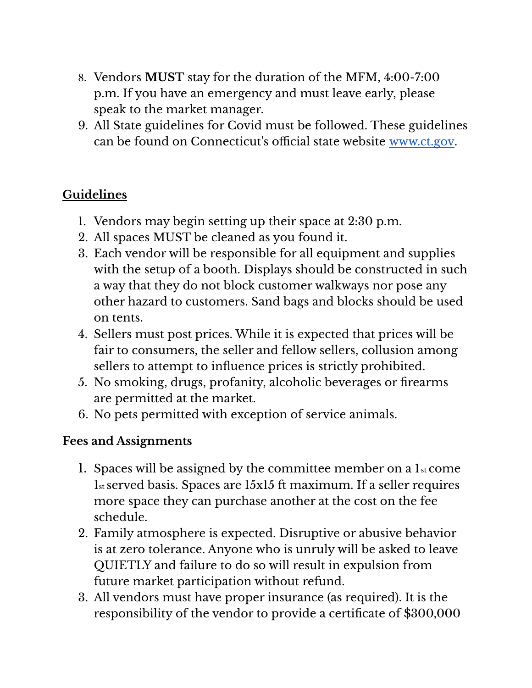- 8. Vendors **MUST** stay for the duration of the MFM, 4:00-7:00 p.m. If you have an emergency and must leave early, please speak to the market manager.
- 9. All State guidelines for Covid must be followed. These guidelines can be found on Connecticut's official state website [www.ct.gov](http://www.ct.gov).

## **Guidelines**

- 1. Vendors may begin setting up their space at 2:30 p.m.
- 2. All spaces MUST be cleaned as you found it.
- 3. Each vendor will be responsible for all equipment and supplies with the setup of a booth. Displays should be constructed in such a way that they do not block customer walkways nor pose any other hazard to customers. Sand bags and blocks should be used on tents.
- 4. Sellers must post prices. While it is expected that prices will be fair to consumers, the seller and fellow sellers, collusion among sellers to attempt to influence prices is strictly prohibited.
- 5. No smoking, drugs, profanity, alcoholic beverages or firearms are permitted at the market.
- 6. No pets permitted with exception of service animals.

## **Fees and Assignments**

- 1. Spaces will be assigned by the committee member on a  $1<sub>st</sub>$  come 1st served basis. Spaces are 15x15 ft maximum. If a seller requires more space they can purchase another at the cost on the fee schedule.
- 2. Family atmosphere is expected. Disruptive or abusive behavior is at zero tolerance. Anyone who is unruly will be asked to leave QUIETLY and failure to do so will result in expulsion from future market participation without refund.
- 3. All vendors must have proper insurance (as required). It is the responsibility of the vendor to provide a certificate of \$300,000